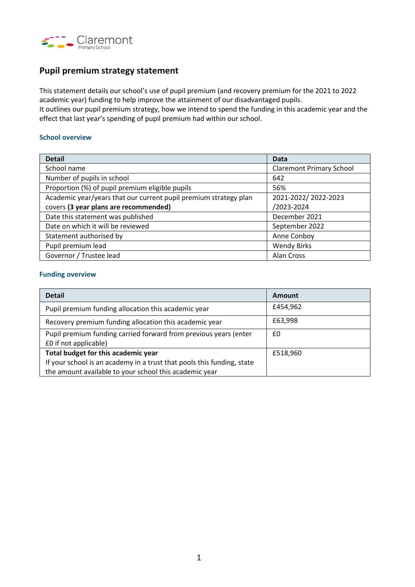

# **Pupil premium strategy statement**

This statement details our school's use of pupil premium (and recovery premium for the 2021 to 2022 academic year) funding to help improve the attainment of our disadvantaged pupils.

It outlines our pupil premium strategy, how we intend to spend the funding in this academic year and the effect that last year's spending of pupil premium had within our school.

### **School overview**

| <b>Detail</b>                                                    | Data                            |  |
|------------------------------------------------------------------|---------------------------------|--|
| School name                                                      | <b>Claremont Primary School</b> |  |
| Number of pupils in school                                       | 642                             |  |
| Proportion (%) of pupil premium eligible pupils                  | 56%                             |  |
| Academic year/years that our current pupil premium strategy plan | 2021-2022/2022-2023             |  |
| covers (3 year plans are recommended)                            | /2023-2024                      |  |
| Date this statement was published                                | December 2021                   |  |
| Date on which it will be reviewed                                | September 2022                  |  |
| Statement authorised by                                          | Anne Conboy                     |  |
| Pupil premium lead                                               | <b>Wendy Birks</b>              |  |
| Governor / Trustee lead                                          | Alan Cross                      |  |

### **Funding overview**

| <b>Detail</b>                                                                             | Amount   |  |
|-------------------------------------------------------------------------------------------|----------|--|
| Pupil premium funding allocation this academic year                                       | £454,962 |  |
| Recovery premium funding allocation this academic year                                    | £63,998  |  |
| Pupil premium funding carried forward from previous years (enter<br>£0 if not applicable) | £0       |  |
| Total budget for this academic year                                                       | £518,960 |  |
| If your school is an academy in a trust that pools this funding, state                    |          |  |
| the amount available to your school this academic year                                    |          |  |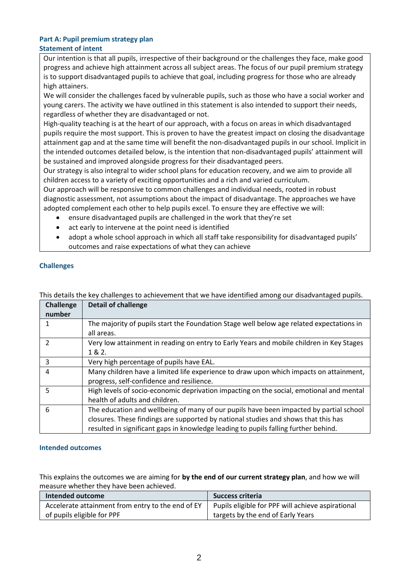#### **Part A: Pupil premium strategy plan Statement of intent**

Our intention is that all pupils, irrespective of their background or the challenges they face, make good progress and achieve high attainment across all subject areas. The focus of our pupil premium strategy is to support disadvantaged pupils to achieve that goal, including progress for those who are already high attainers.

We will consider the challenges faced by vulnerable pupils, such as those who have a social worker and young carers. The activity we have outlined in this statement is also intended to support their needs, regardless of whether they are disadvantaged or not.

High-quality teaching is at the heart of our approach, with a focus on areas in which disadvantaged pupils require the most support. This is proven to have the greatest impact on closing the disadvantage attainment gap and at the same time will benefit the non-disadvantaged pupils in our school. Implicit in the intended outcomes detailed below, is the intention that non-disadvantaged pupils' attainment will be sustained and improved alongside progress for their disadvantaged peers.

Our strategy is also integral to wider school plans for education recovery, and we aim to provide all children access to a variety of exciting opportunities and a rich and varied curriculum.

Our approach will be responsive to common challenges and individual needs, rooted in robust diagnostic assessment, not assumptions about the impact of disadvantage. The approaches we have adopted complement each other to help pupils excel. To ensure they are effective we will:

- ensure disadvantaged pupils are challenged in the work that they're set
- act early to intervene at the point need is identified
- adopt a whole school approach in which all staff take responsibility for disadvantaged pupils' outcomes and raise expectations of what they can achieve

## **Challenges**

| <b>Challenge</b> | <b>Detail of challenge</b>                                                               |
|------------------|------------------------------------------------------------------------------------------|
| number           |                                                                                          |
|                  | The majority of pupils start the Foundation Stage well below age related expectations in |
|                  | all areas.                                                                               |
| 2                | Very low attainment in reading on entry to Early Years and mobile children in Key Stages |
|                  | 1 & 2.                                                                                   |
| 3                | Very high percentage of pupils have EAL.                                                 |
| 4                | Many children have a limited life experience to draw upon which impacts on attainment,   |
|                  | progress, self-confidence and resilience.                                                |
| 5                | High levels of socio-economic deprivation impacting on the social, emotional and mental  |
|                  | health of adults and children.                                                           |
| 6                | The education and wellbeing of many of our pupils have been impacted by partial school   |
|                  | closures. These findings are supported by national studies and shows that this has       |
|                  | resulted in significant gaps in knowledge leading to pupils falling further behind.      |

This details the key challenges to achievement that we have identified among our disadvantaged pupils.

### **Intended outcomes**

This explains the outcomes we are aiming for **by the end of our current strategy plan**, and how we will measure whether they have been achieved.

| Intended outcome                                  | <b>Success criteria</b>                           |  |  |
|---------------------------------------------------|---------------------------------------------------|--|--|
| Accelerate attainment from entry to the end of EY | Pupils eligible for PPF will achieve aspirational |  |  |
| of pupils eligible for PPF                        | targets by the end of Early Years                 |  |  |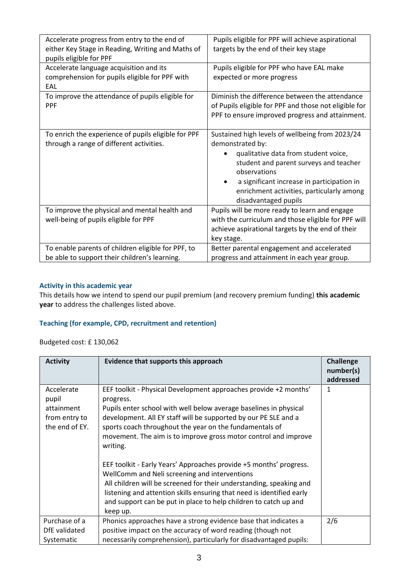| Accelerate progress from entry to the end of        | Pupils eligible for PPF will achieve aspirational     |
|-----------------------------------------------------|-------------------------------------------------------|
| either Key Stage in Reading, Writing and Maths of   | targets by the end of their key stage                 |
| pupils eligible for PPF                             |                                                       |
| Accelerate language acquisition and its             | Pupils eligible for PPF who have EAL make             |
| comprehension for pupils eligible for PPF with      | expected or more progress                             |
| EAL                                                 |                                                       |
| To improve the attendance of pupils eligible for    | Diminish the difference between the attendance        |
| <b>PPF</b>                                          | of Pupils eligible for PPF and those not eligible for |
|                                                     | PPF to ensure improved progress and attainment.       |
|                                                     |                                                       |
| To enrich the experience of pupils eligible for PPF | Sustained high levels of wellbeing from 2023/24       |
| through a range of different activities.            | demonstrated by:                                      |
|                                                     | qualitative data from student voice,                  |
|                                                     | student and parent surveys and teacher                |
|                                                     | observations                                          |
|                                                     | a significant increase in participation in            |
|                                                     | enrichment activities, particularly among             |
|                                                     |                                                       |
|                                                     | disadvantaged pupils                                  |
| To improve the physical and mental health and       | Pupils will be more ready to learn and engage         |
| well-being of pupils eligible for PPF               | with the curriculum and those eligible for PPF will   |
|                                                     | achieve aspirational targets by the end of their      |
|                                                     | key stage.                                            |
| To enable parents of children eligible for PPF, to  | Better parental engagement and accelerated            |
| be able to support their children's learning.       | progress and attainment in each year group.           |

### **Activity in this academic year**

This details how we intend to spend our pupil premium (and recovery premium funding) **this academic year** to address the challenges listed above.

# **Teaching (for example, CPD, recruitment and retention)**

Budgeted cost: £ 130,062

| <b>Activity</b>                                                      | Evidence that supports this approach                                                                                                                                                                                                                                                                                                                                                                                                                                                                                                                                                                                                                                                                                   | Challenge<br>number(s)<br>addressed |
|----------------------------------------------------------------------|------------------------------------------------------------------------------------------------------------------------------------------------------------------------------------------------------------------------------------------------------------------------------------------------------------------------------------------------------------------------------------------------------------------------------------------------------------------------------------------------------------------------------------------------------------------------------------------------------------------------------------------------------------------------------------------------------------------------|-------------------------------------|
| Accelerate<br>pupil<br>attainment<br>from entry to<br>the end of EY. | EEF toolkit - Physical Development approaches provide +2 months'<br>progress.<br>Pupils enter school with well below average baselines in physical<br>development. All EY staff will be supported by our PE SLE and a<br>sports coach throughout the year on the fundamentals of<br>movement. The aim is to improve gross motor control and improve<br>writing.<br>EEF toolkit - Early Years' Approaches provide +5 months' progress.<br>WellComm and Neli screening and interventions<br>All children will be screened for their understanding, speaking and<br>listening and attention skills ensuring that need is identified early<br>and support can be put in place to help children to catch up and<br>keep up. | 1                                   |
| Purchase of a<br>DfE validated<br>Systematic                         | Phonics approaches have a strong evidence base that indicates a<br>positive impact on the accuracy of word reading (though not<br>necessarily comprehension), particularly for disadvantaged pupils:                                                                                                                                                                                                                                                                                                                                                                                                                                                                                                                   | 2/6                                 |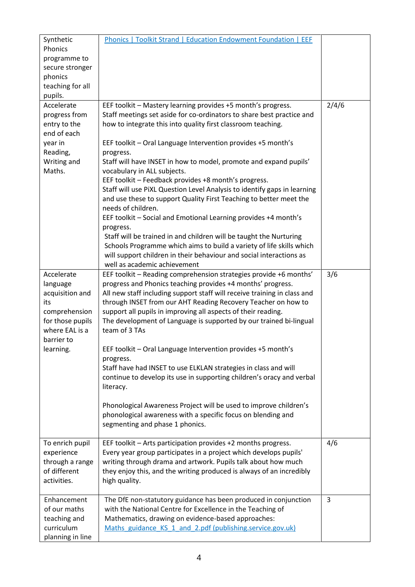| Synthetic<br>Phonics<br>programme to<br>secure stronger<br>phonics<br>teaching for all                                             | Phonics   Toolkit Strand   Education Endowment Foundation   EEF                                                                                                                                                                                                                                                                                                                                                                                                                                                                                                                                                                                                                                                                                                                                                                                                                                                                                             |       |
|------------------------------------------------------------------------------------------------------------------------------------|-------------------------------------------------------------------------------------------------------------------------------------------------------------------------------------------------------------------------------------------------------------------------------------------------------------------------------------------------------------------------------------------------------------------------------------------------------------------------------------------------------------------------------------------------------------------------------------------------------------------------------------------------------------------------------------------------------------------------------------------------------------------------------------------------------------------------------------------------------------------------------------------------------------------------------------------------------------|-------|
| pupils.<br>Accelerate<br>progress from<br>entry to the<br>end of each<br>year in<br>Reading,<br>Writing and<br>Maths.              | EEF toolkit - Mastery learning provides +5 month's progress.<br>Staff meetings set aside for co-ordinators to share best practice and<br>how to integrate this into quality first classroom teaching.<br>EEF toolkit - Oral Language Intervention provides +5 month's<br>progress.<br>Staff will have INSET in how to model, promote and expand pupils'<br>vocabulary in ALL subjects.<br>EEF toolkit - Feedback provides +8 month's progress.<br>Staff will use PIXL Question Level Analysis to identify gaps in learning<br>and use these to support Quality First Teaching to better meet the<br>needs of children.<br>EEF toolkit - Social and Emotional Learning provides +4 month's<br>progress.<br>Staff will be trained in and children will be taught the Nurturing<br>Schools Programme which aims to build a variety of life skills which<br>will support children in their behaviour and social interactions as<br>well as academic achievement | 2/4/6 |
| Accelerate<br>language<br>acquisition and<br>its<br>comprehension<br>for those pupils<br>where EAL is a<br>barrier to<br>learning. | EEF toolkit - Reading comprehension strategies provide +6 months'<br>progress and Phonics teaching provides +4 months' progress.<br>All new staff including support staff will receive training in class and<br>through INSET from our AHT Reading Recovery Teacher on how to<br>support all pupils in improving all aspects of their reading.<br>The development of Language is supported by our trained bi-lingual<br>team of 3 TAs<br>EEF toolkit - Oral Language Intervention provides +5 month's<br>progress.<br>Staff have had INSET to use ELKLAN strategies in class and will<br>continue to develop its use in supporting children's oracy and verbal<br>literacy.<br>Phonological Awareness Project will be used to improve children's<br>phonological awareness with a specific focus on blending and<br>segmenting and phase 1 phonics.                                                                                                         | 3/6   |
| To enrich pupil<br>experience<br>through a range<br>of different<br>activities.                                                    | EEF toolkit - Arts participation provides +2 months progress.<br>Every year group participates in a project which develops pupils'<br>writing through drama and artwork. Pupils talk about how much<br>they enjoy this, and the writing produced is always of an incredibly<br>high quality.                                                                                                                                                                                                                                                                                                                                                                                                                                                                                                                                                                                                                                                                | 4/6   |
| Enhancement<br>of our maths<br>teaching and<br>curriculum<br>planning in line                                                      | The DfE non-statutory guidance has been produced in conjunction<br>with the National Centre for Excellence in the Teaching of<br>Mathematics, drawing on evidence-based approaches:<br>Maths guidance KS 1 and 2.pdf (publishing.service.gov.uk)                                                                                                                                                                                                                                                                                                                                                                                                                                                                                                                                                                                                                                                                                                            | 3     |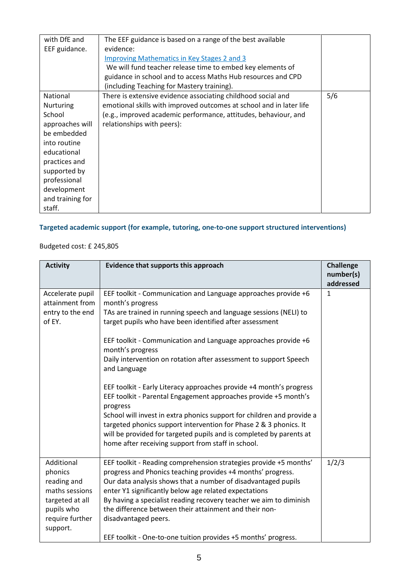| with DfE and     | The EEF guidance is based on a range of the best available          |     |
|------------------|---------------------------------------------------------------------|-----|
| EEF guidance.    | evidence:                                                           |     |
|                  | <b>Improving Mathematics in Key Stages 2 and 3</b>                  |     |
|                  | We will fund teacher release time to embed key elements of          |     |
|                  | guidance in school and to access Maths Hub resources and CPD        |     |
|                  | (including Teaching for Mastery training).                          |     |
| <b>National</b>  | There is extensive evidence associating childhood social and        | 5/6 |
| <b>Nurturing</b> | emotional skills with improved outcomes at school and in later life |     |
| School           | (e.g., improved academic performance, attitudes, behaviour, and     |     |
| approaches will  | relationships with peers):                                          |     |
| be embedded      |                                                                     |     |
| into routine     |                                                                     |     |
| educational      |                                                                     |     |
| practices and    |                                                                     |     |
| supported by     |                                                                     |     |
| professional     |                                                                     |     |
| development      |                                                                     |     |
| and training for |                                                                     |     |
| staff.           |                                                                     |     |

# **Targeted academic support (for example, tutoring, one-to-one support structured interventions)**

# Budgeted cost: £ 245,805

| <b>Activity</b>                                                                                                        | Evidence that supports this approach                                                                                                                                                                                                                                                                                                                                                                                                                                                                                                                                                                                                                                                                                                                                                                                            | <b>Challenge</b><br>number(s)<br>addressed |
|------------------------------------------------------------------------------------------------------------------------|---------------------------------------------------------------------------------------------------------------------------------------------------------------------------------------------------------------------------------------------------------------------------------------------------------------------------------------------------------------------------------------------------------------------------------------------------------------------------------------------------------------------------------------------------------------------------------------------------------------------------------------------------------------------------------------------------------------------------------------------------------------------------------------------------------------------------------|--------------------------------------------|
| Accelerate pupil<br>attainment from<br>entry to the end<br>of EY.                                                      | EEF toolkit - Communication and Language approaches provide +6<br>month's progress<br>TAs are trained in running speech and language sessions (NELI) to<br>target pupils who have been identified after assessment<br>EEF toolkit - Communication and Language approaches provide +6<br>month's progress<br>Daily intervention on rotation after assessment to support Speech<br>and Language<br>EEF toolkit - Early Literacy approaches provide +4 month's progress<br>EEF toolkit - Parental Engagement approaches provide +5 month's<br>progress<br>School will invest in extra phonics support for children and provide a<br>targeted phonics support intervention for Phase 2 & 3 phonics. It<br>will be provided for targeted pupils and is completed by parents at<br>home after receiving support from staff in school. | $\mathbf{1}$                               |
| Additional<br>phonics<br>reading and<br>maths sessions<br>targeted at all<br>pupils who<br>require further<br>support. | EEF toolkit - Reading comprehension strategies provide +5 months'<br>progress and Phonics teaching provides +4 months' progress.<br>Our data analysis shows that a number of disadvantaged pupils<br>enter Y1 significantly below age related expectations<br>By having a specialist reading recovery teacher we aim to diminish<br>the difference between their attainment and their non-<br>disadvantaged peers.<br>EEF toolkit - One-to-one tuition provides +5 months' progress.                                                                                                                                                                                                                                                                                                                                            | 1/2/3                                      |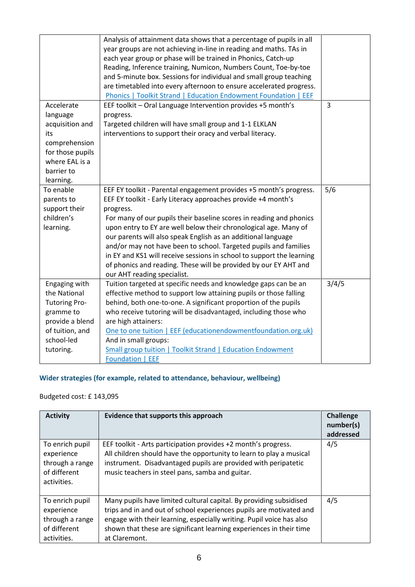| Analysis of attainment data shows that a percentage of pupils in all<br>year groups are not achieving in-line in reading and maths. TAs in |                                                                                                                                                                                                                                                                                                                                                                                                                                                                                                                                                                                                                                                                                                                                                                                                                                                                                                                                                                                                                                                                                                                                                                                                                                                                                                                                                                                                                                                                               |
|--------------------------------------------------------------------------------------------------------------------------------------------|-------------------------------------------------------------------------------------------------------------------------------------------------------------------------------------------------------------------------------------------------------------------------------------------------------------------------------------------------------------------------------------------------------------------------------------------------------------------------------------------------------------------------------------------------------------------------------------------------------------------------------------------------------------------------------------------------------------------------------------------------------------------------------------------------------------------------------------------------------------------------------------------------------------------------------------------------------------------------------------------------------------------------------------------------------------------------------------------------------------------------------------------------------------------------------------------------------------------------------------------------------------------------------------------------------------------------------------------------------------------------------------------------------------------------------------------------------------------------------|
|                                                                                                                                            |                                                                                                                                                                                                                                                                                                                                                                                                                                                                                                                                                                                                                                                                                                                                                                                                                                                                                                                                                                                                                                                                                                                                                                                                                                                                                                                                                                                                                                                                               |
|                                                                                                                                            |                                                                                                                                                                                                                                                                                                                                                                                                                                                                                                                                                                                                                                                                                                                                                                                                                                                                                                                                                                                                                                                                                                                                                                                                                                                                                                                                                                                                                                                                               |
|                                                                                                                                            |                                                                                                                                                                                                                                                                                                                                                                                                                                                                                                                                                                                                                                                                                                                                                                                                                                                                                                                                                                                                                                                                                                                                                                                                                                                                                                                                                                                                                                                                               |
|                                                                                                                                            |                                                                                                                                                                                                                                                                                                                                                                                                                                                                                                                                                                                                                                                                                                                                                                                                                                                                                                                                                                                                                                                                                                                                                                                                                                                                                                                                                                                                                                                                               |
|                                                                                                                                            |                                                                                                                                                                                                                                                                                                                                                                                                                                                                                                                                                                                                                                                                                                                                                                                                                                                                                                                                                                                                                                                                                                                                                                                                                                                                                                                                                                                                                                                                               |
|                                                                                                                                            | 3                                                                                                                                                                                                                                                                                                                                                                                                                                                                                                                                                                                                                                                                                                                                                                                                                                                                                                                                                                                                                                                                                                                                                                                                                                                                                                                                                                                                                                                                             |
|                                                                                                                                            |                                                                                                                                                                                                                                                                                                                                                                                                                                                                                                                                                                                                                                                                                                                                                                                                                                                                                                                                                                                                                                                                                                                                                                                                                                                                                                                                                                                                                                                                               |
|                                                                                                                                            |                                                                                                                                                                                                                                                                                                                                                                                                                                                                                                                                                                                                                                                                                                                                                                                                                                                                                                                                                                                                                                                                                                                                                                                                                                                                                                                                                                                                                                                                               |
|                                                                                                                                            |                                                                                                                                                                                                                                                                                                                                                                                                                                                                                                                                                                                                                                                                                                                                                                                                                                                                                                                                                                                                                                                                                                                                                                                                                                                                                                                                                                                                                                                                               |
|                                                                                                                                            |                                                                                                                                                                                                                                                                                                                                                                                                                                                                                                                                                                                                                                                                                                                                                                                                                                                                                                                                                                                                                                                                                                                                                                                                                                                                                                                                                                                                                                                                               |
|                                                                                                                                            |                                                                                                                                                                                                                                                                                                                                                                                                                                                                                                                                                                                                                                                                                                                                                                                                                                                                                                                                                                                                                                                                                                                                                                                                                                                                                                                                                                                                                                                                               |
|                                                                                                                                            |                                                                                                                                                                                                                                                                                                                                                                                                                                                                                                                                                                                                                                                                                                                                                                                                                                                                                                                                                                                                                                                                                                                                                                                                                                                                                                                                                                                                                                                                               |
|                                                                                                                                            |                                                                                                                                                                                                                                                                                                                                                                                                                                                                                                                                                                                                                                                                                                                                                                                                                                                                                                                                                                                                                                                                                                                                                                                                                                                                                                                                                                                                                                                                               |
|                                                                                                                                            |                                                                                                                                                                                                                                                                                                                                                                                                                                                                                                                                                                                                                                                                                                                                                                                                                                                                                                                                                                                                                                                                                                                                                                                                                                                                                                                                                                                                                                                                               |
| EEF EY toolkit - Parental engagement provides +5 month's progress.                                                                         | 5/6                                                                                                                                                                                                                                                                                                                                                                                                                                                                                                                                                                                                                                                                                                                                                                                                                                                                                                                                                                                                                                                                                                                                                                                                                                                                                                                                                                                                                                                                           |
| EEF EY toolkit - Early Literacy approaches provide +4 month's                                                                              |                                                                                                                                                                                                                                                                                                                                                                                                                                                                                                                                                                                                                                                                                                                                                                                                                                                                                                                                                                                                                                                                                                                                                                                                                                                                                                                                                                                                                                                                               |
| progress.                                                                                                                                  |                                                                                                                                                                                                                                                                                                                                                                                                                                                                                                                                                                                                                                                                                                                                                                                                                                                                                                                                                                                                                                                                                                                                                                                                                                                                                                                                                                                                                                                                               |
|                                                                                                                                            |                                                                                                                                                                                                                                                                                                                                                                                                                                                                                                                                                                                                                                                                                                                                                                                                                                                                                                                                                                                                                                                                                                                                                                                                                                                                                                                                                                                                                                                                               |
|                                                                                                                                            |                                                                                                                                                                                                                                                                                                                                                                                                                                                                                                                                                                                                                                                                                                                                                                                                                                                                                                                                                                                                                                                                                                                                                                                                                                                                                                                                                                                                                                                                               |
|                                                                                                                                            |                                                                                                                                                                                                                                                                                                                                                                                                                                                                                                                                                                                                                                                                                                                                                                                                                                                                                                                                                                                                                                                                                                                                                                                                                                                                                                                                                                                                                                                                               |
|                                                                                                                                            |                                                                                                                                                                                                                                                                                                                                                                                                                                                                                                                                                                                                                                                                                                                                                                                                                                                                                                                                                                                                                                                                                                                                                                                                                                                                                                                                                                                                                                                                               |
|                                                                                                                                            |                                                                                                                                                                                                                                                                                                                                                                                                                                                                                                                                                                                                                                                                                                                                                                                                                                                                                                                                                                                                                                                                                                                                                                                                                                                                                                                                                                                                                                                                               |
|                                                                                                                                            |                                                                                                                                                                                                                                                                                                                                                                                                                                                                                                                                                                                                                                                                                                                                                                                                                                                                                                                                                                                                                                                                                                                                                                                                                                                                                                                                                                                                                                                                               |
|                                                                                                                                            |                                                                                                                                                                                                                                                                                                                                                                                                                                                                                                                                                                                                                                                                                                                                                                                                                                                                                                                                                                                                                                                                                                                                                                                                                                                                                                                                                                                                                                                                               |
|                                                                                                                                            | 3/4/5                                                                                                                                                                                                                                                                                                                                                                                                                                                                                                                                                                                                                                                                                                                                                                                                                                                                                                                                                                                                                                                                                                                                                                                                                                                                                                                                                                                                                                                                         |
|                                                                                                                                            |                                                                                                                                                                                                                                                                                                                                                                                                                                                                                                                                                                                                                                                                                                                                                                                                                                                                                                                                                                                                                                                                                                                                                                                                                                                                                                                                                                                                                                                                               |
|                                                                                                                                            |                                                                                                                                                                                                                                                                                                                                                                                                                                                                                                                                                                                                                                                                                                                                                                                                                                                                                                                                                                                                                                                                                                                                                                                                                                                                                                                                                                                                                                                                               |
|                                                                                                                                            |                                                                                                                                                                                                                                                                                                                                                                                                                                                                                                                                                                                                                                                                                                                                                                                                                                                                                                                                                                                                                                                                                                                                                                                                                                                                                                                                                                                                                                                                               |
|                                                                                                                                            |                                                                                                                                                                                                                                                                                                                                                                                                                                                                                                                                                                                                                                                                                                                                                                                                                                                                                                                                                                                                                                                                                                                                                                                                                                                                                                                                                                                                                                                                               |
|                                                                                                                                            |                                                                                                                                                                                                                                                                                                                                                                                                                                                                                                                                                                                                                                                                                                                                                                                                                                                                                                                                                                                                                                                                                                                                                                                                                                                                                                                                                                                                                                                                               |
|                                                                                                                                            |                                                                                                                                                                                                                                                                                                                                                                                                                                                                                                                                                                                                                                                                                                                                                                                                                                                                                                                                                                                                                                                                                                                                                                                                                                                                                                                                                                                                                                                                               |
|                                                                                                                                            |                                                                                                                                                                                                                                                                                                                                                                                                                                                                                                                                                                                                                                                                                                                                                                                                                                                                                                                                                                                                                                                                                                                                                                                                                                                                                                                                                                                                                                                                               |
| Foundation   EEF                                                                                                                           |                                                                                                                                                                                                                                                                                                                                                                                                                                                                                                                                                                                                                                                                                                                                                                                                                                                                                                                                                                                                                                                                                                                                                                                                                                                                                                                                                                                                                                                                               |
|                                                                                                                                            | each year group or phase will be trained in Phonics, Catch-up<br>Reading, Inference training, Numicon, Numbers Count, Toe-by-toe<br>and 5-minute box. Sessions for individual and small group teaching<br>are timetabled into every afternoon to ensure accelerated progress.<br>Phonics   Toolkit Strand   Education Endowment Foundation   EEF<br>EEF toolkit - Oral Language Intervention provides +5 month's<br>progress.<br>Targeted children will have small group and 1-1 ELKLAN<br>interventions to support their oracy and verbal literacy.<br>For many of our pupils their baseline scores in reading and phonics<br>upon entry to EY are well below their chronological age. Many of<br>our parents will also speak English as an additional language<br>and/or may not have been to school. Targeted pupils and families<br>in EY and KS1 will receive sessions in school to support the learning<br>of phonics and reading. These will be provided by our EY AHT and<br>our AHT reading specialist.<br>Tuition targeted at specific needs and knowledge gaps can be an<br>effective method to support low attaining pupils or those falling<br>behind, both one-to-one. A significant proportion of the pupils<br>who receive tutoring will be disadvantaged, including those who<br>are high attainers:<br>One to one tuition   EEF (educationendowmentfoundation.org.uk)<br>And in small groups:<br>Small group tuition   Toolkit Strand   Education Endowment |

# **Wider strategies (for example, related to attendance, behaviour, wellbeing)**

Budgeted cost: £ 143,095

| <b>Activity</b>                                                                 | Evidence that supports this approach                                                                                                                                                                                                                                                                      | <b>Challenge</b><br>number(s)<br>addressed |
|---------------------------------------------------------------------------------|-----------------------------------------------------------------------------------------------------------------------------------------------------------------------------------------------------------------------------------------------------------------------------------------------------------|--------------------------------------------|
| To enrich pupil<br>experience<br>through a range<br>of different<br>activities. | EEF toolkit - Arts participation provides +2 month's progress.<br>All children should have the opportunity to learn to play a musical<br>instrument. Disadvantaged pupils are provided with peripatetic<br>music teachers in steel pans, samba and guitar.                                                | 4/5                                        |
| To enrich pupil<br>experience<br>through a range<br>of different<br>activities. | Many pupils have limited cultural capital. By providing subsidised<br>trips and in and out of school experiences pupils are motivated and<br>engage with their learning, especially writing. Pupil voice has also<br>shown that these are significant learning experiences in their time<br>at Claremont. | 4/5                                        |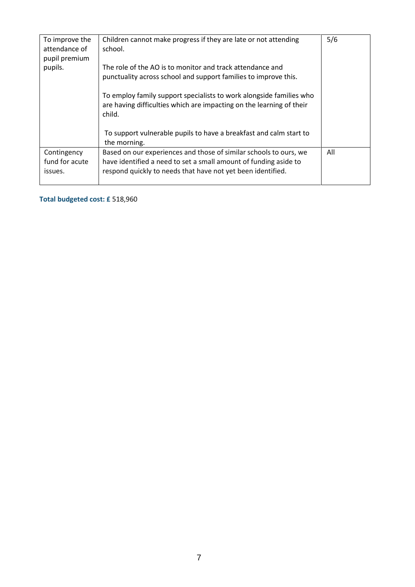| To improve the<br>attendance of<br>pupil premium<br>pupils. | Children cannot make progress if they are late or not attending<br>school.<br>The role of the AO is to monitor and track attendance and<br>punctuality across school and support families to improve this.<br>To employ family support specialists to work alongside families who<br>are having difficulties which are impacting on the learning of their<br>child.<br>To support vulnerable pupils to have a breakfast and calm start to<br>the morning. | 5/6 |
|-------------------------------------------------------------|-----------------------------------------------------------------------------------------------------------------------------------------------------------------------------------------------------------------------------------------------------------------------------------------------------------------------------------------------------------------------------------------------------------------------------------------------------------|-----|
| Contingency<br>fund for acute<br>issues.                    | Based on our experiences and those of similar schools to ours, we<br>have identified a need to set a small amount of funding aside to<br>respond quickly to needs that have not yet been identified.                                                                                                                                                                                                                                                      | All |

**Total budgeted cost: £** 518,960